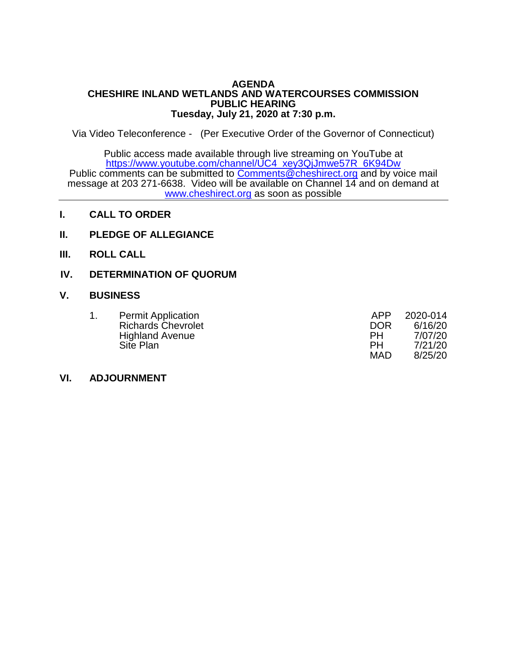#### **AGENDA CHESHIRE INLAND WETLANDS AND WATERCOURSES COMMISSION PUBLIC HEARING Tuesday, July 21, 2020 at 7:30 p.m.**

Via Video Teleconference - (Per Executive Order of the Governor of Connecticut)

Public access made available through live streaming on YouTube at [https://www.youtube.com/channel/UC4\\_xey3QjJmwe57R\\_6K94Dw](https://www.youtube.com/channel/UC4_xey3QjJmwe57R_6K94Dw) Public comments can be submitted to [Comments@cheshirect.org](mailto:Comments@cheshirect.org) and by voice mail message at 203 271-6638. Video will be available on Channel 14 and on demand at [www.cheshirect.org](http://www.cheshirect.org/) as soon as possible

- **I. CALL TO ORDER**
- **II. PLEDGE OF ALLEGIANCE**
- **III. ROLL CALL**
- **IV. DETERMINATION OF QUORUM**

#### **V. BUSINESS**

| <b>Permit Application</b> | APP.       | 2020-014 |
|---------------------------|------------|----------|
| <b>Richards Chevrolet</b> | DOR        | 6/16/20  |
| <b>Highland Avenue</b>    | PН         | 7/07/20  |
| Site Plan                 | PН         | 7/21/20  |
|                           | <b>MAD</b> | 8/25/20  |

### **VI. ADJOURNMENT**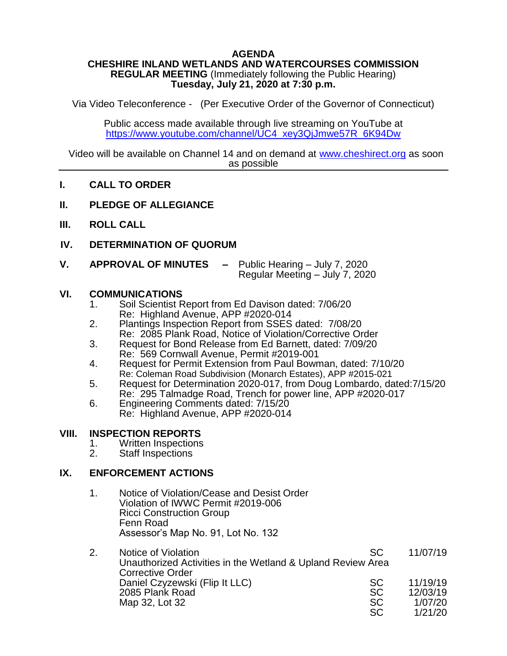## **AGENDA**

#### **CHESHIRE INLAND WETLANDS AND WATERCOURSES COMMISSION REGULAR MEETING** (Immediately following the Public Hearing) **Tuesday, July 21, 2020 at 7:30 p.m.**

Via Video Teleconference - (Per Executive Order of the Governor of Connecticut)

Public access made available through live streaming on YouTube at [https://www.youtube.com/channel/UC4\\_xey3QjJmwe57R\\_6K94Dw](https://www.youtube.com/channel/UC4_xey3QjJmwe57R_6K94Dw)

Video will be available on Channel 14 and on demand at [www.cheshirect.org](http://www.cheshirect.org/) as soon as possible

### **I. CALL TO ORDER**

- **II. PLEDGE OF ALLEGIANCE**
- **III. ROLL CALL**
- **IV. DETERMINATION OF QUORUM**
- **V. APPROVAL OF MINUTES –** Public Hearing July 7, 2020 Regular Meeting – July 7, 2020

### **VI. COMMUNICATIONS**

- 1. Soil Scientist Report from Ed Davison dated: 7/06/20 Re: Highland Avenue, APP #2020-014
- 2. Plantings Inspection Report from SSES dated: 7/08/20 Re: 2085 Plank Road, Notice of Violation/Corrective Order
- 3. Request for Bond Release from Ed Barnett, dated: 7/09/20 Re: 569 Cornwall Avenue, Permit #2019-001
- 4. Request for Permit Extension from Paul Bowman, dated: 7/10/20 Re: Coleman Road Subdivision (Monarch Estates), APP #2015-021
- 5. Request for Determination 2020-017, from Doug Lombardo, dated:7/15/20 Re: 295 Talmadge Road, Trench for power line, APP #2020-017
- 6. Engineering Comments dated: 7/15/20 Re: Highland Avenue, APP #2020-014

### **VIII. INSPECTION REPORTS**

- 1. Written Inspections<br>2. Staff Inspections
- Staff Inspections

### **IX. ENFORCEMENT ACTIONS**

1. Notice of Violation/Cease and Desist Order Violation of IWWC Permit #2019-006 Ricci Construction Group Fenn Road Assessor's Map No. 91, Lot No. 132

| Notice of Violation                                                                    | SC.       | 11/07/19 |  |  |
|----------------------------------------------------------------------------------------|-----------|----------|--|--|
| Unauthorized Activities in the Wetland & Upland Review Area<br><b>Corrective Order</b> |           |          |  |  |
| Daniel Czyzewski (Flip It LLC)                                                         | <b>SC</b> | 11/19/19 |  |  |
| 2085 Plank Road                                                                        | <b>SC</b> | 12/03/19 |  |  |
| Map 32, Lot 32                                                                         | <b>SC</b> | 1/07/20  |  |  |
|                                                                                        | <b>SC</b> | 1/21/20  |  |  |